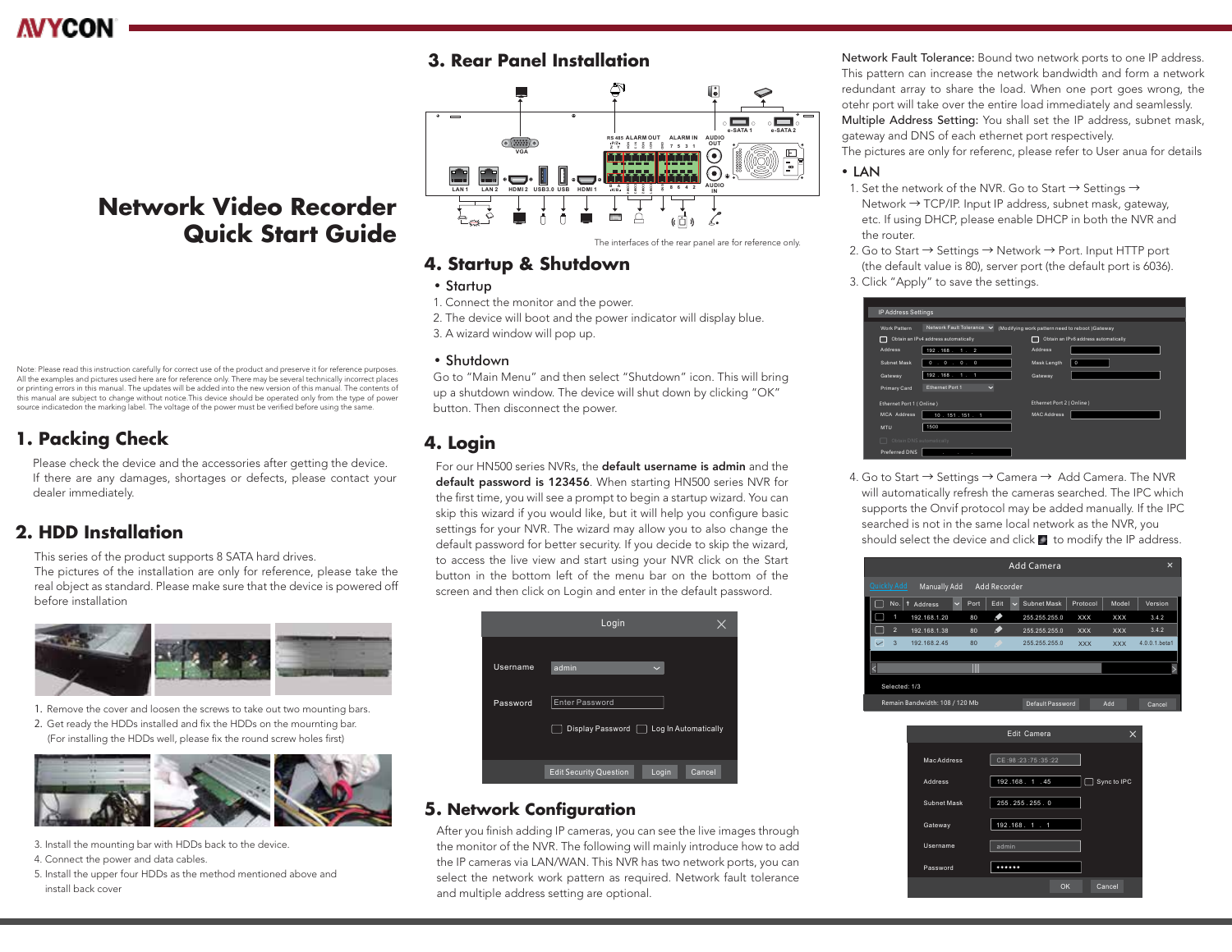# venn

#### **3. Rear Panel Installation**



# **4. Startup & Shutdown**

#### • Startup

- 1. Connect the monitor and the power.
- 2. The device will boot and the power indicator will display blue.
- 3. A wizard window will pop up.

#### • Shutdown

Go to "Main Menu" and then select "Shutdown" icon. This will bring up a shutdown window. The device will shut down by clicking "OK" button. Then disconnect the power.

### **4. Login**

For our HN500 series NVRs, the default username is admin and the default password is 123456. When starting HN500 series NVR for the first time, you will see a prompt to begin a startup wizard. You can skip this wizard if you would like, but it will help you configure basic settings for your NVR. The wizard may allow you to also change the default password for better security. If you decide to skip the wizard, to access the live view and start using your NVR click on the Start button in the bottom left of the menu bar on the bottom of the screen and then click on Login and enter in the default password.



### **5. Network Configuration**

After you finish adding IP cameras, you can see the live images through the monitor of the NVR. The following will mainly introduce how to add the IP cameras via LAN/WAN. This NVR has two network ports, you can select the network work pattern as required. Network fault tolerance and multiple address setting are optional.

Network Fault Tolerance: Bound two network ports to one IP address. This pattern can increase the network bandwidth and form a network redundant array to share the load. When one port goes wrong, the otehr port will take over the entire load immediately and seamlessly. Multiple Address Setting: You shall set the IP address, subnet mask, gateway and DNS of each ethernet port respectively. The pictures are only for referenc, please refer to User anua for details

#### • LAN

- 1. Set the network of the NVR. Go to Start  $\rightarrow$  Settings  $\rightarrow$  Network → TCP/IP. Input IP address, subnet mask, gateway, etc. If using DHCP, please enable DHCP in both the NVR and the router.
- 2. Go to Start → Settings → Network → Port. Input HTTP port (the default value is 80), server port (the default port is 6036).
- 3. Click "Apply" to save the settings.

| <b>IP Address Settings</b> |                                                              |                                                 |  |
|----------------------------|--------------------------------------------------------------|-------------------------------------------------|--|
|                            |                                                              |                                                 |  |
| Work Pattern               | Network Fault Tolerance V                                    | (Modifying work pattern need to reboot )Gateway |  |
| ▬                          | Obtain an IPv4 address automatically                         | Obtain an IPv6 address automatically            |  |
| <b>Address</b>             | 192.168.1.2                                                  | <b>Address</b>                                  |  |
| Subnet Mask                | $\mathbf{0}$ .<br>$\overline{0}$<br>$\sim$ 0<br>$\circ$<br>۰ | Mask Length<br>$\circ$                          |  |
| Gateway                    | 192.168.<br>1.1                                              | Gateway                                         |  |
| Primary Card               | Ethernet Port 1<br>$\sim$                                    |                                                 |  |
| Ethernet Port 1 (Online)   |                                                              | Ethernet Port 2 (Online)                        |  |
| <b>MCA Address</b>         | 10 . 151 . 151 . 1                                           | <b>MAC Address</b>                              |  |
| <b>MTU</b>                 | 1500                                                         |                                                 |  |
| Obtain DNS automatically   |                                                              |                                                 |  |
| <b>Preferred DNS</b>       |                                                              |                                                 |  |

4. Go to Start → Settings → Camera → Add Camera. The NVR will automatically refresh the cameras searched. The IPC which supports the Onvif protocol may be added manually. If the IPC searched is not in the same local network as the NVR, you should select the device and click  $\blacksquare$  to modify the IP address.





# **Network Video Recorder Quick Start Guide**

Note: Please read this instruction carefully for correct use of the product and preserve it for reference purposes. All the examples and pictures used here are for reference only. There may be several technically incorrect places or printing errors in this manual. The updates will be added into the new version of this manual. The contents of this manual are subject to change without notice.This device should be operated only from the type of power source indicatedon the marking label. The voltage of the power must be verified before using the same.

### **1. Packing Check**

Please check the device and the accessories after getting the device. If there are any damages, shortages or defects, please contact your dealer immediately.

### **2. HDD Installation**

This series of the product supports 8 SATA hard drives.

The pictures of the installation are only for reference, please take the real object as standard. Please make sure that the device is powered off before installation



- 1. Remove the cover and loosen the screws to take out two mounting bars.
- 2. Get ready the HDDs installed and fix the HDDs on the mournting bar. (For installing the HDDs well, please fix the round screw holes first)



- 3. Install the mounting bar with HDDs back to the device.
- 4. Connect the power and data cables.
- 5. Install the upper four HDDs as the method mentioned above and install back cover